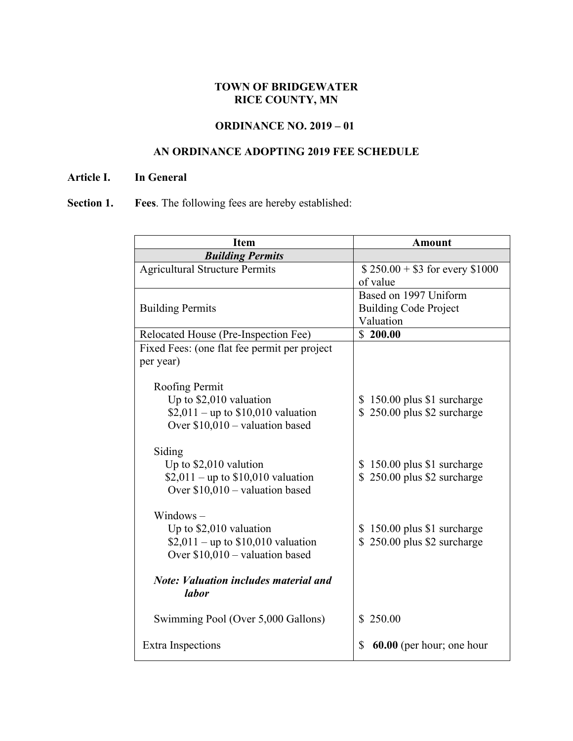## **TOWN OF BRIDGEWATER RICE COUNTY, MN**

## **ORDINANCE NO. 2019 – 01**

## **AN ORDINANCE ADOPTING 2019 FEE SCHEDULE**

#### **Article I. In General**

# **Section 1. Fees**. The following fees are hereby established:

| <b>Item</b>                                  | <b>Amount</b>                   |
|----------------------------------------------|---------------------------------|
| <b>Building Permits</b>                      |                                 |
| <b>Agricultural Structure Permits</b>        | $$250.00 + $3$ for every \$1000 |
|                                              | of value                        |
|                                              | Based on 1997 Uniform           |
| <b>Building Permits</b>                      | <b>Building Code Project</b>    |
|                                              | Valuation                       |
| Relocated House (Pre-Inspection Fee)         | \$200.00                        |
| Fixed Fees: (one flat fee permit per project |                                 |
| per year)                                    |                                 |
|                                              |                                 |
| Roofing Permit                               |                                 |
| Up to \$2,010 valuation                      | 150.00 plus \$1 surcharge<br>S. |
| \$2,011 – up to $$10,010$ valuation          | \$250.00 plus \$2 surcharge     |
| Over $$10,010$ – valuation based             |                                 |
| Siding                                       |                                 |
| Up to $$2,010$ valution                      | \$150.00 plus \$1 surcharge     |
| $$2,011$ – up to \$10,010 valuation          | $$250.00$ plus $$2$ surcharge   |
| Over $$10,010$ – valuation based             |                                 |
|                                              |                                 |
| $Windows -$                                  |                                 |
| Up to $$2,010$ valuation                     | \$150.00 plus \$1 surcharge     |
| \$2,011 – up to $$10,010$ valuation          | 250.00 plus \$2 surcharge       |
| Over $$10,010$ – valuation based             |                                 |
|                                              |                                 |
| <b>Note: Valuation includes material and</b> |                                 |
| <i>labor</i>                                 |                                 |
|                                              |                                 |
| Swimming Pool (Over 5,000 Gallons)           | \$250.00                        |
|                                              | \$                              |
| Extra Inspections                            | 60.00 (per hour; one hour       |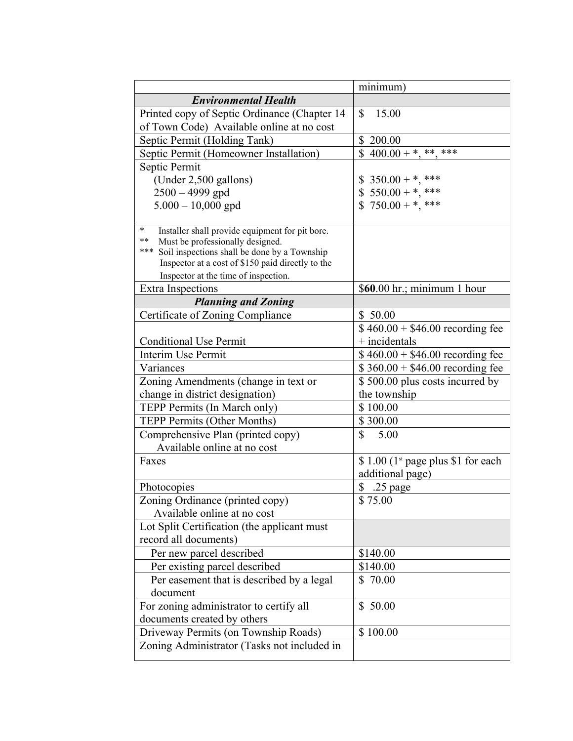|                                                                                                   | minimum)                                        |
|---------------------------------------------------------------------------------------------------|-------------------------------------------------|
| <b>Environmental Health</b>                                                                       |                                                 |
| Printed copy of Septic Ordinance (Chapter 14                                                      | 15.00<br>\$                                     |
| of Town Code) Available online at no cost                                                         |                                                 |
| Septic Permit (Holding Tank)                                                                      | $\mathbb{S}$<br>200.00                          |
| Septic Permit (Homeowner Installation)                                                            | $400.00 + *, **, **$                            |
| Septic Permit                                                                                     |                                                 |
| (Under $2,500$ gallons)                                                                           | $350.00 + *, ***$<br>\$                         |
| $2500 - 4999$ gpd                                                                                 | $550.00 +$ *, ***                               |
| $5.000 - 10,000$ gpd                                                                              | $$750.00 + *, ***$                              |
|                                                                                                   |                                                 |
| $\ast$<br>Installer shall provide equipment for pit bore.                                         |                                                 |
| Must be professionally designed.<br>**<br>***                                                     |                                                 |
| Soil inspections shall be done by a Township<br>Inspector at a cost of \$150 paid directly to the |                                                 |
| Inspector at the time of inspection.                                                              |                                                 |
| <b>Extra Inspections</b>                                                                          | $$60.00 \text{ hr}$ ; minimum 1 hour            |
| <b>Planning and Zoning</b>                                                                        |                                                 |
| Certificate of Zoning Compliance                                                                  | \$50.00                                         |
|                                                                                                   | $$460.00 + $46.00$ recording fee                |
| <b>Conditional Use Permit</b>                                                                     | $+$ incidentals                                 |
| Interim Use Permit                                                                                | $$460.00 + $46.00$ recording fee                |
| Variances                                                                                         | $$360.00 + $46.00$ recording fee                |
| Zoning Amendments (change in text or                                                              | \$500.00 plus costs incurred by                 |
| change in district designation)                                                                   | the township                                    |
| TEPP Permits (In March only)                                                                      | \$100.00                                        |
| TEPP Permits (Other Months)                                                                       | \$300.00                                        |
| Comprehensive Plan (printed copy)                                                                 | \$<br>5.00                                      |
| Available online at no cost                                                                       |                                                 |
| Faxes                                                                                             | $$1.00$ (1 <sup>st</sup> page plus \$1 for each |
|                                                                                                   | additional page)                                |
| Photocopies                                                                                       | \$ .25 page                                     |
| Zoning Ordinance (printed copy)                                                                   | \$75.00                                         |
| Available online at no cost                                                                       |                                                 |
| Lot Split Certification (the applicant must                                                       |                                                 |
| record all documents)                                                                             |                                                 |
| Per new parcel described                                                                          | \$140.00                                        |
| Per existing parcel described                                                                     | \$140.00                                        |
| Per easement that is described by a legal                                                         | \$70.00                                         |
| document                                                                                          |                                                 |
| For zoning administrator to certify all                                                           | \$50.00                                         |
| documents created by others                                                                       |                                                 |
| Driveway Permits (on Township Roads)                                                              | \$100.00                                        |
| Zoning Administrator (Tasks not included in                                                       |                                                 |
|                                                                                                   |                                                 |